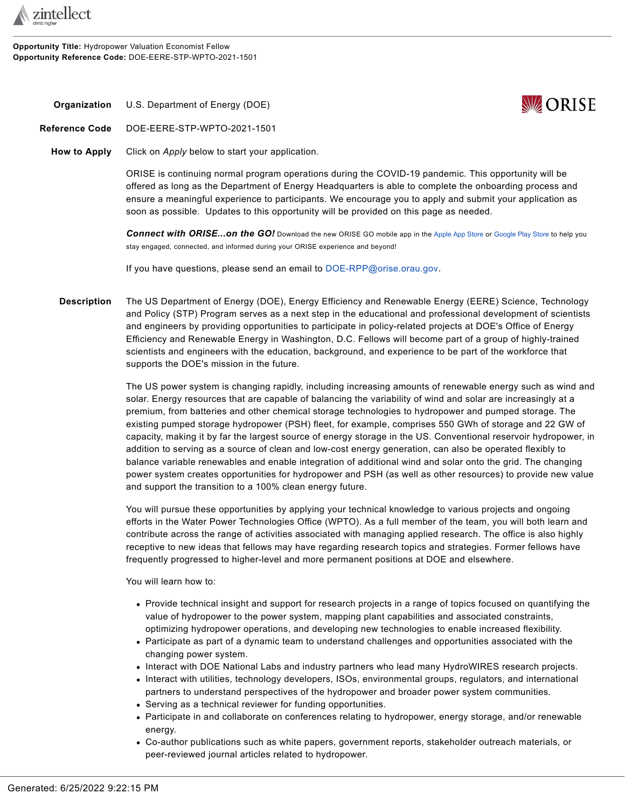

**Opportunity Title:** Hydropower Valuation Economist Fellow **Opportunity Reference Code:** DOE-EERE-STP-WPTO-2021-1501



<span id="page-0-0"></span>**Organization** U.S. Department of Energy (DOE)

**Reference Code** DOE-EERE-STP-WPTO-2021-1501

**How to Apply** Click on *Apply* below to start your application.

ORISE is continuing normal program operations during the COVID-19 pandemic. This opportunity will be offered as long as the Department of Energy Headquarters is able to complete the onboarding process and ensure a meaningful experience to participants. We encourage you to apply and submit your application as soon as possible. Updates to this opportunity will be provided on this page as needed.

*Connect with ORISE...on the GO!* Download the new ORISE GO mobile app in the [Apple App Store](https://apps.apple.com/us/app/orise-go/id1491975263) or [Google Play Store](https://play.google.com/store/apps/details?id=org.orau.ima.orisego&hl=en_US) to help you stay engaged, connected, and informed during your ORISE experience and beyond!

If you have questions, please send an email to [DOE-RPP@orise.orau.gov](mailto:DOE-RPP@orise.orau.gov?subject=DOE-EERE-STP-WPTO-2021-1501).

**Description** The US Department of Energy (DOE), Energy Efficiency and Renewable Energy (EERE) Science, Technology and Policy (STP) Program serves as a next step in the educational and professional development of scientists and engineers by providing opportunities to participate in policy-related projects at DOE's Office of Energy Efficiency and Renewable Energy in Washington, D.C. Fellows will become part of a group of highly-trained scientists and engineers with the education, background, and experience to be part of the workforce that supports the DOE's mission in the future.

> The US power system is changing rapidly, including increasing amounts of renewable energy such as wind and solar. Energy resources that are capable of balancing the variability of wind and solar are increasingly at a premium, from batteries and other chemical storage technologies to hydropower and pumped storage. The existing pumped storage hydropower (PSH) fleet, for example, comprises 550 GWh of storage and 22 GW of capacity, making it by far the largest source of energy storage in the US. Conventional reservoir hydropower, in addition to serving as a source of clean and low-cost energy generation, can also be operated flexibly to balance variable renewables and enable integration of additional wind and solar onto the grid. The changing power system creates opportunities for hydropower and PSH (as well as other resources) to provide new value and support the transition to a 100% clean energy future.

You will pursue these opportunities by applying your technical knowledge to various projects and ongoing efforts in the Water Power Technologies Office (WPTO). As a full member of the team, you will both learn and contribute across the range of activities associated with managing applied research. The office is also highly receptive to new ideas that fellows may have regarding research topics and strategies. Former fellows have frequently progressed to higher-level and more permanent positions at DOE and elsewhere.

You will learn how to:

- Provide technical insight and support for research projects in a range of topics focused on quantifying the value of hydropower to the power system, mapping plant capabilities and associated constraints, optimizing hydropower operations, and developing new technologies to enable increased flexibility.
- Participate as part of a dynamic team to understand challenges and opportunities associated with the changing power system.
- Interact with DOE National Labs and industry partners who lead many HydroWIRES research projects.
- Interact with utilities, technology developers, ISOs, environmental groups, regulators, and international partners to understand perspectives of the hydropower and broader power system communities.
- Serving as a technical reviewer for funding opportunities.
- Participate in and collaborate on conferences relating to hydropower, energy storage, and/or renewable energy.
- Co-author publications such as white papers, government reports, stakeholder outreach materials, or peer-reviewed journal articles related to hydropower.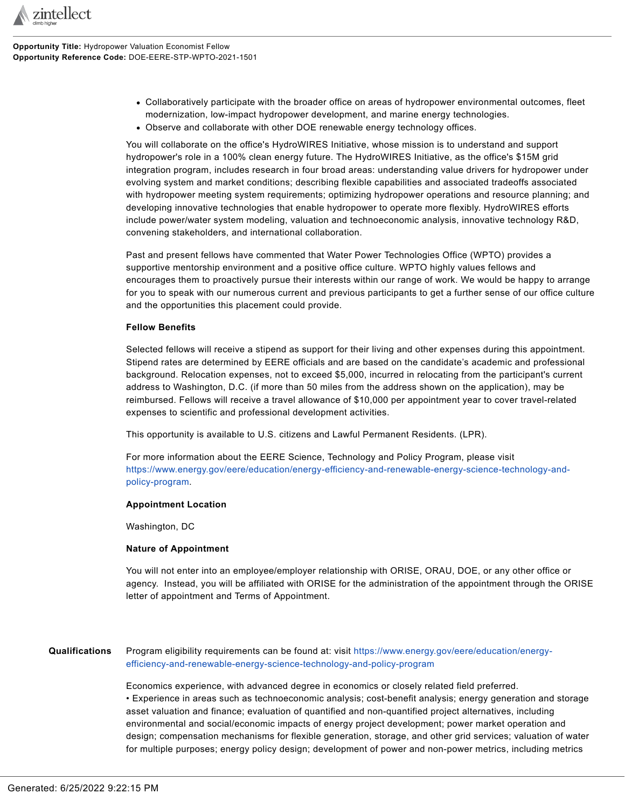

- Collaboratively participate with the broader office on areas of hydropower environmental outcomes, fleet modernization, low-impact hydropower development, and marine energy technologies.
- Observe and collaborate with other DOE renewable energy technology offices.

You will collaborate on the office's HydroWIRES Initiative, whose mission is to understand and support hydropower's role in a 100% clean energy future. The HydroWIRES Initiative, as the office's \$15M grid integration program, includes research in four broad areas: understanding value drivers for hydropower under evolving system and market conditions; describing flexible capabilities and associated tradeoffs associated with hydropower meeting system requirements; optimizing hydropower operations and resource planning; and developing innovative technologies that enable hydropower to operate more flexibly. HydroWIRES efforts include power/water system modeling, valuation and technoeconomic analysis, innovative technology R&D, convening stakeholders, and international collaboration.

Past and present fellows have commented that Water Power Technologies Office (WPTO) provides a supportive mentorship environment and a positive office culture. WPTO highly values fellows and encourages them to proactively pursue their interests within our range of work. We would be happy to arrange for you to speak with our numerous current and previous participants to get a further sense of our office culture and the opportunities this placement could provide.

#### **Fellow Benefits**

Selected fellows will receive a stipend as support for their living and other expenses during this appointment. Stipend rates are determined by EERE officials and are based on the candidate's academic and professional background. Relocation expenses, not to exceed \$5,000, incurred in relocating from the participant's current address to Washington, D.C. (if more than 50 miles from the address shown on the application), may be reimbursed. Fellows will receive a travel allowance of \$10,000 per appointment year to cover travel-related expenses to scientific and professional development activities.

This opportunity is available to U.S. citizens and Lawful Permanent Residents. (LPR).

For more information about the EERE Science, Technology and Policy Program, please visit [https://www.energy.gov/eere/education/energy-efficiency-and-renewable-energy-science-technology-and](https://www.energy.gov/eere/education/energy-efficiency-and-renewable-energy-science-technology-and-policy-program)[policy-program](https://www.energy.gov/eere/education/energy-efficiency-and-renewable-energy-science-technology-and-policy-program).

### **Appointment Location**

Washington, DC

#### **Nature of Appointment**

You will not enter into an employee/employer relationship with ORISE, ORAU, DOE, or any other office or agency. Instead, you will be affiliated with ORISE for the administration of the appointment through the ORISE letter of appointment and Terms of Appointment.

# **Qualifications** Program eligibility requirements can be found at: visit [https://www.energy.gov/eere/education/energy](https://www.energy.gov/eere/education/energy-efficiency-and-renewable-energy-science-technology-and-policy-program)[efficiency-and-renewable-energy-science-technology-and-policy-program](https://www.energy.gov/eere/education/energy-efficiency-and-renewable-energy-science-technology-and-policy-program)

Economics experience, with advanced degree in economics or closely related field preferred. • Experience in areas such as technoeconomic analysis; cost-benefit analysis; energy generation and storage asset valuation and finance; evaluation of quantified and non-quantified project alternatives, including environmental and social/economic impacts of energy project development; power market operation and design; compensation mechanisms for flexible generation, storage, and other grid services; valuation of water for multiple purposes; energy policy design; development of power and non-power metrics, including metrics